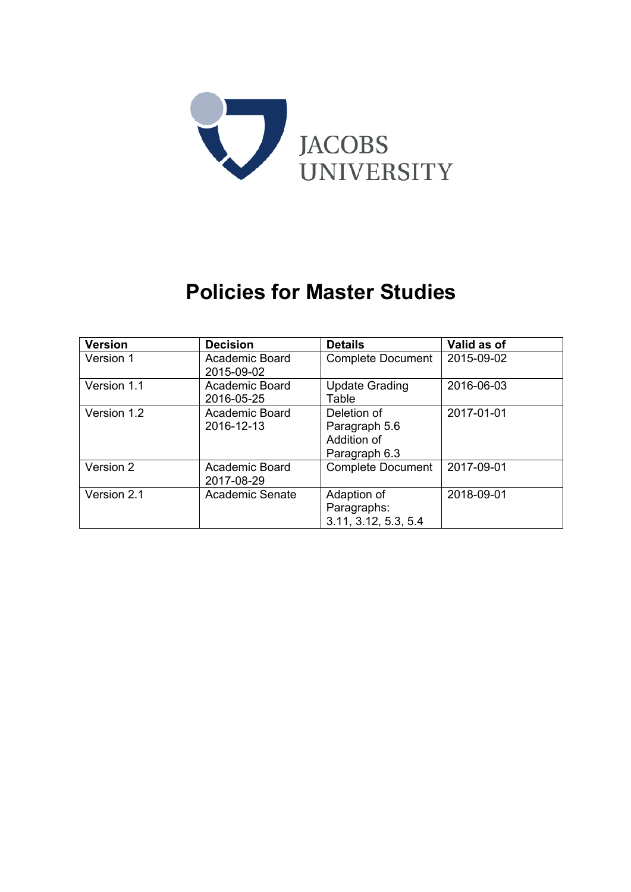

# **Policies for Master Studies**

| <b>Version</b> | <b>Decision</b>              | <b>Details</b>                                               | Valid as of |
|----------------|------------------------------|--------------------------------------------------------------|-------------|
| Version 1      | Academic Board<br>2015-09-02 | <b>Complete Document</b>                                     | 2015-09-02  |
| Version 1.1    | Academic Board<br>2016-05-25 | <b>Update Grading</b><br>Table                               | 2016-06-03  |
| Version 1.2    | Academic Board<br>2016-12-13 | Deletion of<br>Paragraph 5.6<br>Addition of<br>Paragraph 6.3 | 2017-01-01  |
| Version 2      | Academic Board<br>2017-08-29 | <b>Complete Document</b>                                     | 2017-09-01  |
| Version 2.1    | Academic Senate              | Adaption of<br>Paragraphs:<br>3.11, 3.12, 5.3, 5.4           | 2018-09-01  |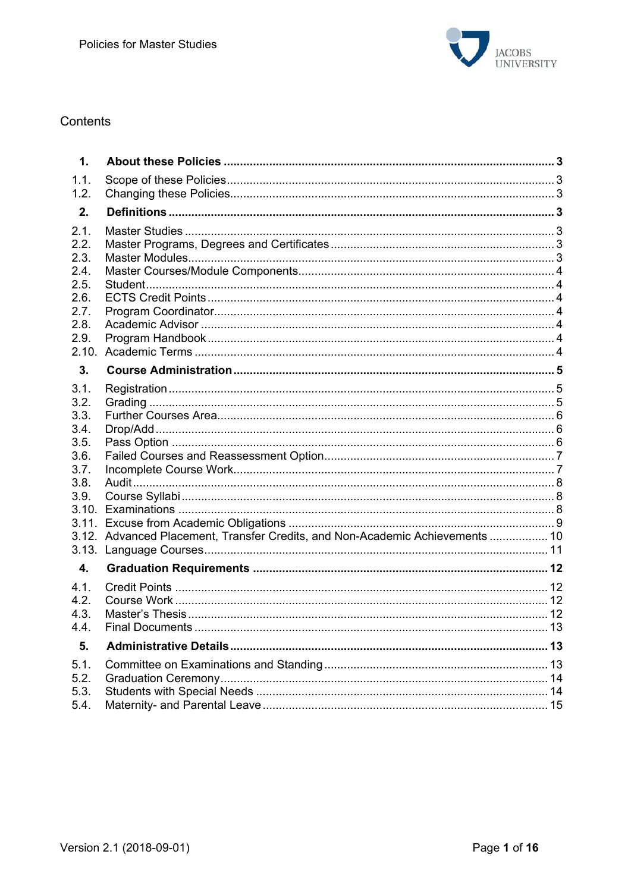

## Contents

| $\mathbf{1}$ .                                                                |                                                                               |  |
|-------------------------------------------------------------------------------|-------------------------------------------------------------------------------|--|
| 1.1.<br>1.2.                                                                  |                                                                               |  |
| 2.                                                                            |                                                                               |  |
| 2.1.<br>2.2.<br>2.3.<br>2.4.<br>2.5.<br>2.6.<br>2.7.<br>2.8.<br>2.9.<br>2.10. |                                                                               |  |
| 3.                                                                            |                                                                               |  |
| 3.1.<br>3.2.<br>3.3.<br>3.4.<br>3.5.<br>3.6.<br>3.7.<br>3.8.<br>3.9.<br>3.13. | 3.12. Advanced Placement, Transfer Credits, and Non-Academic Achievements  10 |  |
| 4.                                                                            |                                                                               |  |
| 4.1.<br>4.2.<br>4.3.<br>4.4.                                                  |                                                                               |  |
| 5.                                                                            |                                                                               |  |
| 5.1.<br>5.2.<br>5.3.<br>5.4.                                                  |                                                                               |  |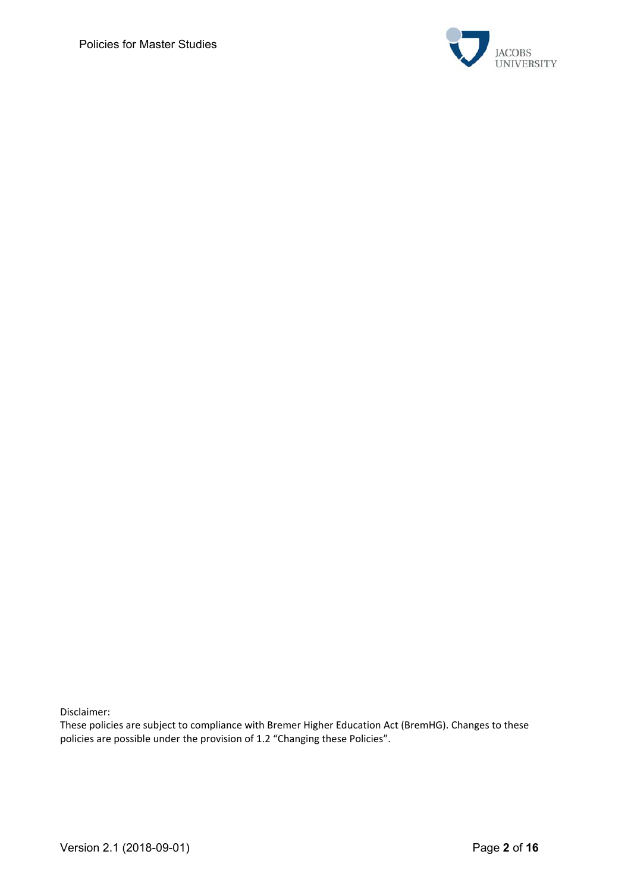

Disclaimer:

These policies are subject to compliance with Bremer Higher Education Act (BremHG). Changes to these policies are possible under the provision of 1.2 "Changing these Policies".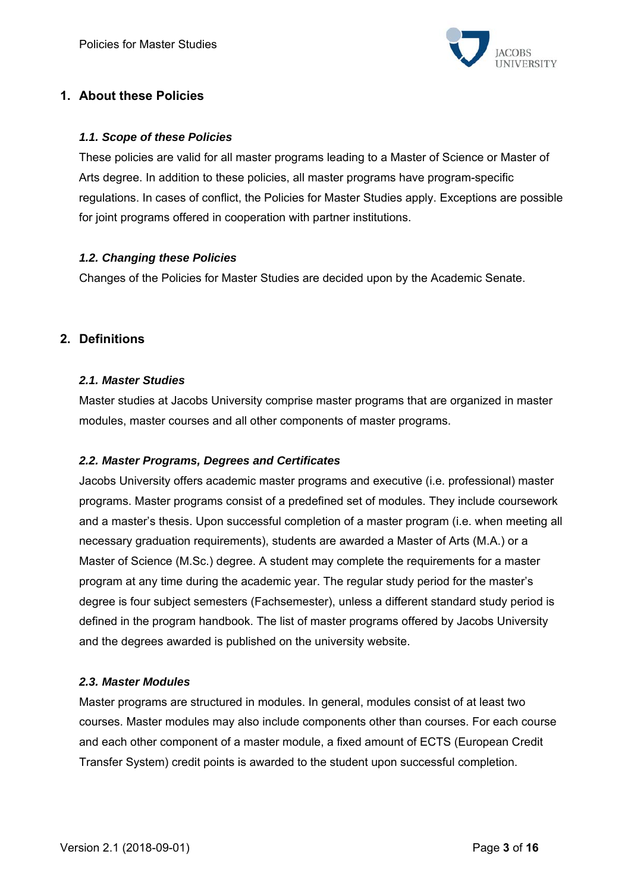

# **1. About these Policies**

## *1.1. Scope of these Policies*

These policies are valid for all master programs leading to a Master of Science or Master of Arts degree. In addition to these policies, all master programs have program-specific regulations. In cases of conflict, the Policies for Master Studies apply. Exceptions are possible for joint programs offered in cooperation with partner institutions.

#### *1.2. Changing these Policies*

Changes of the Policies for Master Studies are decided upon by the Academic Senate.

## **2. Definitions**

#### *2.1. Master Studies*

Master studies at Jacobs University comprise master programs that are organized in master modules, master courses and all other components of master programs.

## *2.2. Master Programs, Degrees and Certificates*

Jacobs University offers academic master programs and executive (i.e. professional) master programs. Master programs consist of a predefined set of modules. They include coursework and a master's thesis. Upon successful completion of a master program (i.e. when meeting all necessary graduation requirements), students are awarded a Master of Arts (M.A.) or a Master of Science (M.Sc.) degree. A student may complete the requirements for a master program at any time during the academic year. The regular study period for the master's degree is four subject semesters (Fachsemester), unless a different standard study period is defined in the program handbook. The list of master programs offered by Jacobs University and the degrees awarded is published on the university website.

#### *2.3. Master Modules*

Master programs are structured in modules. In general, modules consist of at least two courses. Master modules may also include components other than courses. For each course and each other component of a master module, a fixed amount of ECTS (European Credit Transfer System) credit points is awarded to the student upon successful completion.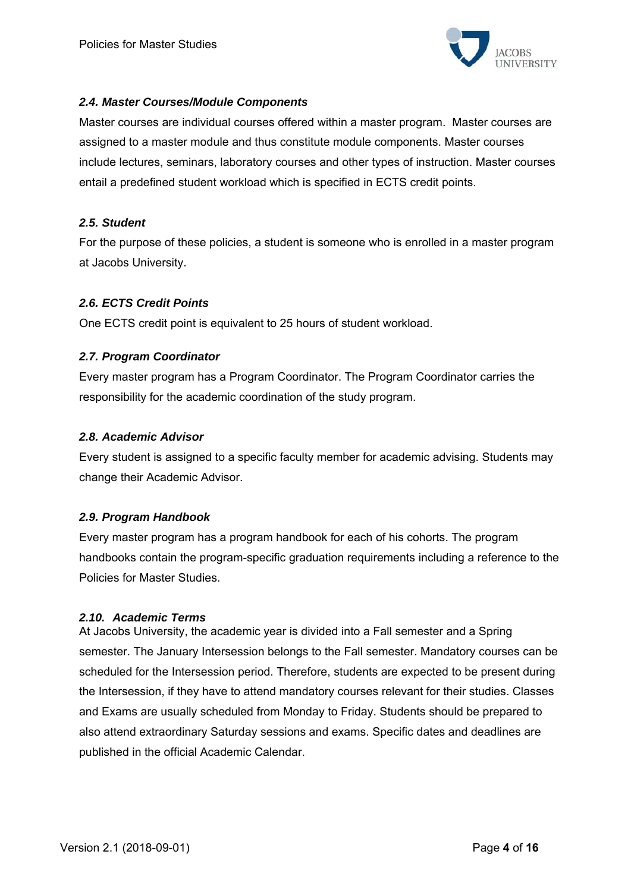

## *2.4. Master Courses/Module Components*

Master courses are individual courses offered within a master program. Master courses are assigned to a master module and thus constitute module components. Master courses include lectures, seminars, laboratory courses and other types of instruction. Master courses entail a predefined student workload which is specified in ECTS credit points.

## *2.5. Student*

For the purpose of these policies, a student is someone who is enrolled in a master program at Jacobs University.

## *2.6. ECTS Credit Points*

One ECTS credit point is equivalent to 25 hours of student workload.

## *2.7. Program Coordinator*

Every master program has a Program Coordinator. The Program Coordinator carries the responsibility for the academic coordination of the study program.

#### *2.8. Academic Advisor*

Every student is assigned to a specific faculty member for academic advising. Students may change their Academic Advisor.

## *2.9. Program Handbook*

Every master program has a program handbook for each of his cohorts. The program handbooks contain the program-specific graduation requirements including a reference to the Policies for Master Studies.

#### *2.10. Academic Terms*

At Jacobs University, the academic year is divided into a Fall semester and a Spring semester. The January Intersession belongs to the Fall semester. Mandatory courses can be scheduled for the Intersession period. Therefore, students are expected to be present during the Intersession, if they have to attend mandatory courses relevant for their studies. Classes and Exams are usually scheduled from Monday to Friday. Students should be prepared to also attend extraordinary Saturday sessions and exams. Specific dates and deadlines are published in the official Academic Calendar.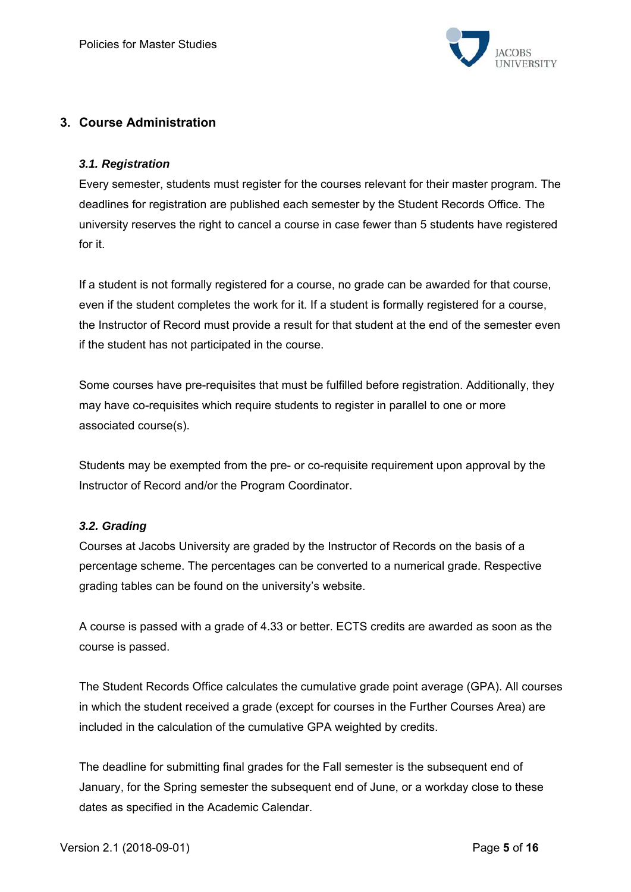

# **3. Course Administration**

## *3.1. Registration*

Every semester, students must register for the courses relevant for their master program. The deadlines for registration are published each semester by the Student Records Office. The university reserves the right to cancel a course in case fewer than 5 students have registered for it.

If a student is not formally registered for a course, no grade can be awarded for that course, even if the student completes the work for it. If a student is formally registered for a course, the Instructor of Record must provide a result for that student at the end of the semester even if the student has not participated in the course.

Some courses have pre-requisites that must be fulfilled before registration. Additionally, they may have co-requisites which require students to register in parallel to one or more associated course(s).

Students may be exempted from the pre- or co-requisite requirement upon approval by the Instructor of Record and/or the Program Coordinator.

## *3.2. Grading*

Courses at Jacobs University are graded by the Instructor of Records on the basis of a percentage scheme. The percentages can be converted to a numerical grade. Respective grading tables can be found on the university's website.

A course is passed with a grade of 4.33 or better. ECTS credits are awarded as soon as the course is passed.

The Student Records Office calculates the cumulative grade point average (GPA). All courses in which the student received a grade (except for courses in the Further Courses Area) are included in the calculation of the cumulative GPA weighted by credits.

The deadline for submitting final grades for the Fall semester is the subsequent end of January, for the Spring semester the subsequent end of June, or a workday close to these dates as specified in the Academic Calendar.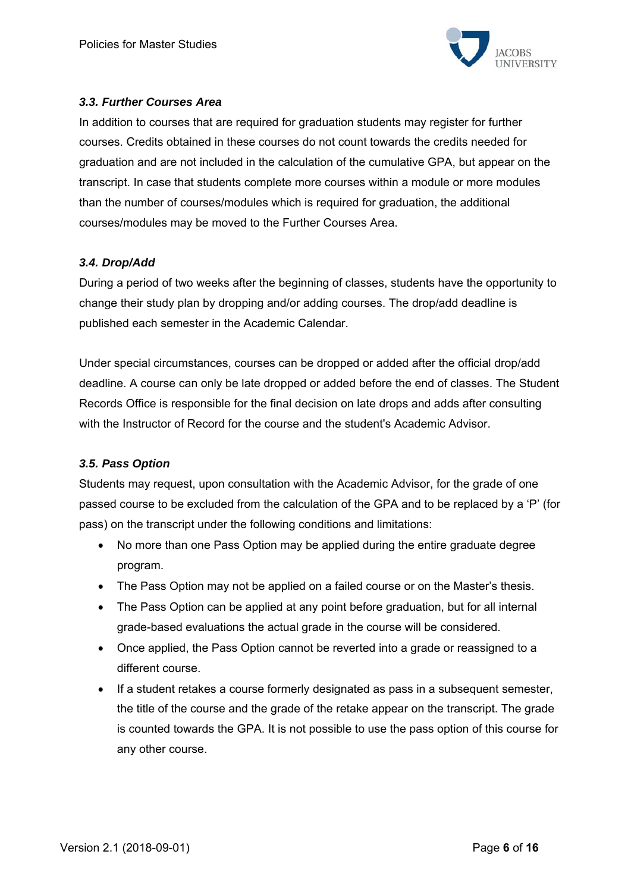

## *3.3. Further Courses Area*

In addition to courses that are required for graduation students may register for further courses. Credits obtained in these courses do not count towards the credits needed for graduation and are not included in the calculation of the cumulative GPA, but appear on the transcript. In case that students complete more courses within a module or more modules than the number of courses/modules which is required for graduation, the additional courses/modules may be moved to the Further Courses Area.

## *3.4. Drop/Add*

During a period of two weeks after the beginning of classes, students have the opportunity to change their study plan by dropping and/or adding courses. The drop/add deadline is published each semester in the Academic Calendar.

Under special circumstances, courses can be dropped or added after the official drop/add deadline. A course can only be late dropped or added before the end of classes. The Student Records Office is responsible for the final decision on late drops and adds after consulting with the Instructor of Record for the course and the student's Academic Advisor.

## *3.5. Pass Option*

Students may request, upon consultation with the Academic Advisor, for the grade of one passed course to be excluded from the calculation of the GPA and to be replaced by a 'P' (for pass) on the transcript under the following conditions and limitations:

- No more than one Pass Option may be applied during the entire graduate degree program.
- The Pass Option may not be applied on a failed course or on the Master's thesis.
- The Pass Option can be applied at any point before graduation, but for all internal grade-based evaluations the actual grade in the course will be considered.
- Once applied, the Pass Option cannot be reverted into a grade or reassigned to a different course.
- If a student retakes a course formerly designated as pass in a subsequent semester, the title of the course and the grade of the retake appear on the transcript. The grade is counted towards the GPA. It is not possible to use the pass option of this course for any other course.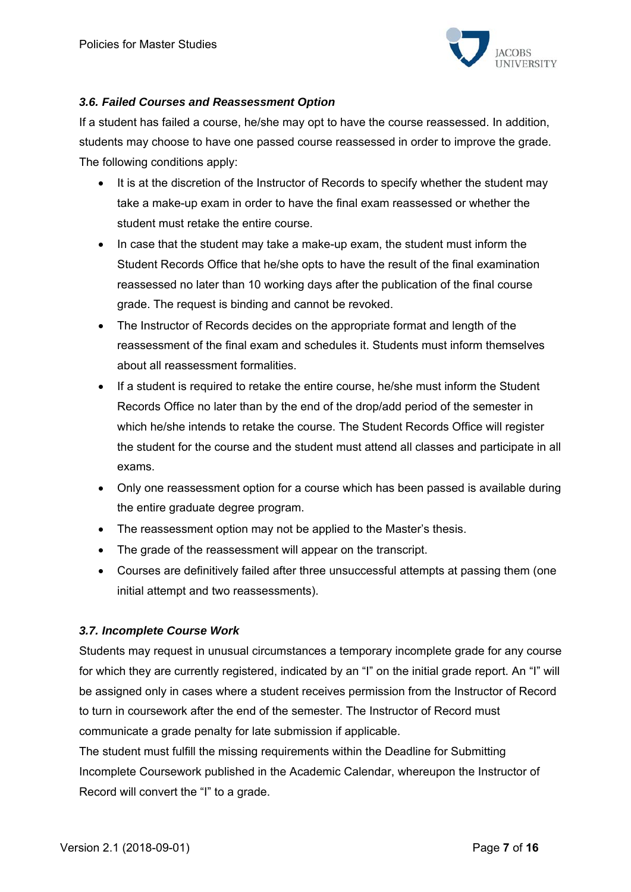

## *3.6. Failed Courses and Reassessment Option*

If a student has failed a course, he/she may opt to have the course reassessed. In addition, students may choose to have one passed course reassessed in order to improve the grade. The following conditions apply:

- It is at the discretion of the Instructor of Records to specify whether the student may take a make-up exam in order to have the final exam reassessed or whether the student must retake the entire course.
- In case that the student may take a make-up exam, the student must inform the Student Records Office that he/she opts to have the result of the final examination reassessed no later than 10 working days after the publication of the final course grade. The request is binding and cannot be revoked.
- The Instructor of Records decides on the appropriate format and length of the reassessment of the final exam and schedules it. Students must inform themselves about all reassessment formalities.
- If a student is required to retake the entire course, he/she must inform the Student Records Office no later than by the end of the drop/add period of the semester in which he/she intends to retake the course. The Student Records Office will register the student for the course and the student must attend all classes and participate in all exams.
- Only one reassessment option for a course which has been passed is available during the entire graduate degree program.
- The reassessment option may not be applied to the Master's thesis.
- The grade of the reassessment will appear on the transcript.
- Courses are definitively failed after three unsuccessful attempts at passing them (one initial attempt and two reassessments).

## *3.7. Incomplete Course Work*

Students may request in unusual circumstances a temporary incomplete grade for any course for which they are currently registered, indicated by an "I" on the initial grade report. An "I" will be assigned only in cases where a student receives permission from the Instructor of Record to turn in coursework after the end of the semester. The Instructor of Record must communicate a grade penalty for late submission if applicable.

The student must fulfill the missing requirements within the Deadline for Submitting Incomplete Coursework published in the Academic Calendar, whereupon the Instructor of Record will convert the "I" to a grade.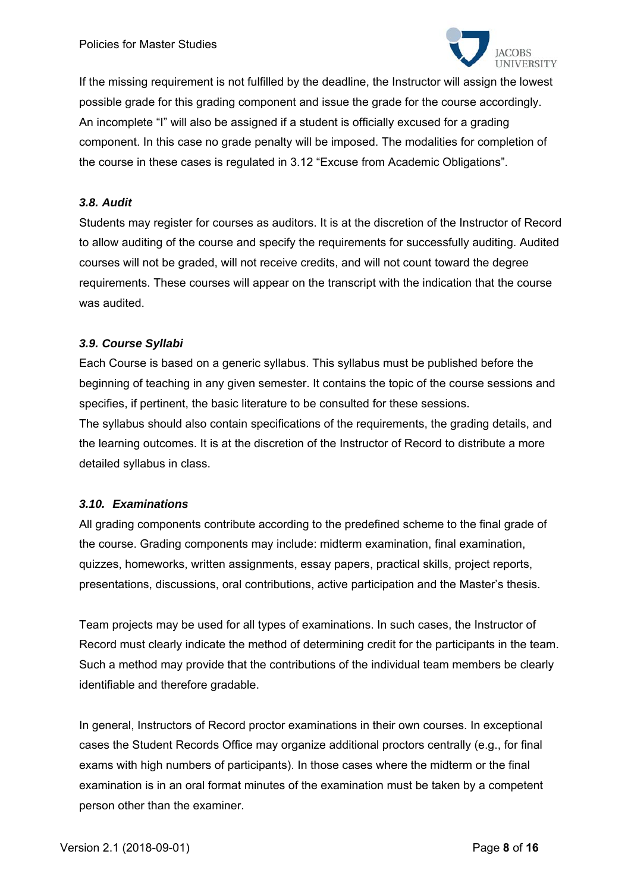

If the missing requirement is not fulfilled by the deadline, the Instructor will assign the lowest possible grade for this grading component and issue the grade for the course accordingly. An incomplete "I" will also be assigned if a student is officially excused for a grading component. In this case no grade penalty will be imposed. The modalities for completion of the course in these cases is regulated in 3.12 "Excuse from Academic Obligations".

#### *3.8. Audit*

Students may register for courses as auditors. It is at the discretion of the Instructor of Record to allow auditing of the course and specify the requirements for successfully auditing. Audited courses will not be graded, will not receive credits, and will not count toward the degree requirements. These courses will appear on the transcript with the indication that the course was audited.

#### *3.9. Course Syllabi*

Each Course is based on a generic syllabus. This syllabus must be published before the beginning of teaching in any given semester. It contains the topic of the course sessions and specifies, if pertinent, the basic literature to be consulted for these sessions.

The syllabus should also contain specifications of the requirements, the grading details, and the learning outcomes. It is at the discretion of the Instructor of Record to distribute a more detailed syllabus in class.

## *3.10. Examinations*

All grading components contribute according to the predefined scheme to the final grade of the course. Grading components may include: midterm examination, final examination, quizzes, homeworks, written assignments, essay papers, practical skills, project reports, presentations, discussions, oral contributions, active participation and the Master's thesis.

Team projects may be used for all types of examinations. In such cases, the Instructor of Record must clearly indicate the method of determining credit for the participants in the team. Such a method may provide that the contributions of the individual team members be clearly identifiable and therefore gradable.

In general, Instructors of Record proctor examinations in their own courses. In exceptional cases the Student Records Office may organize additional proctors centrally (e.g., for final exams with high numbers of participants). In those cases where the midterm or the final examination is in an oral format minutes of the examination must be taken by a competent person other than the examiner.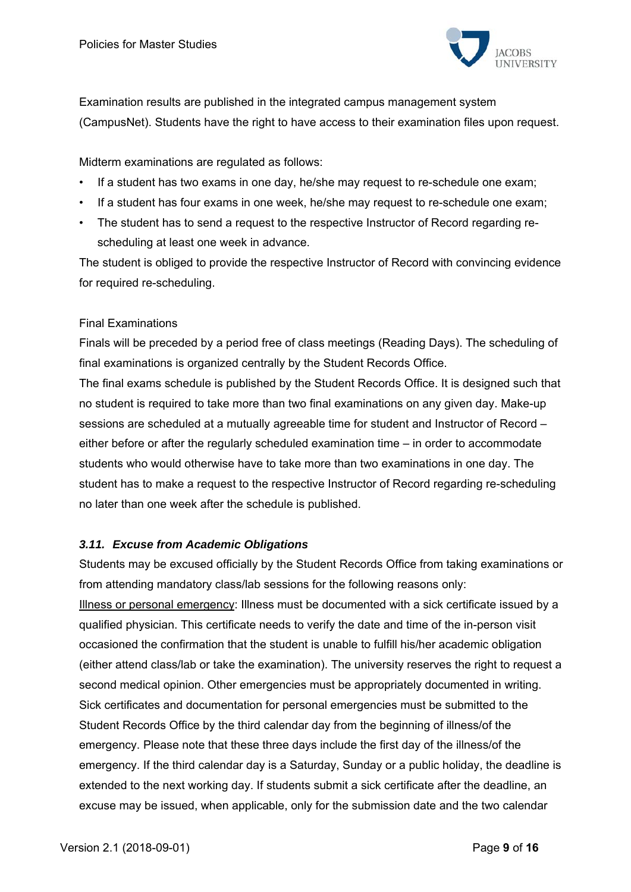

Examination results are published in the integrated campus management system (CampusNet). Students have the right to have access to their examination files upon request.

Midterm examinations are regulated as follows:

- If a student has two exams in one day, he/she may request to re-schedule one exam;
- If a student has four exams in one week, he/she may request to re-schedule one exam;
- The student has to send a request to the respective Instructor of Record regarding rescheduling at least one week in advance.

The student is obliged to provide the respective Instructor of Record with convincing evidence for required re-scheduling.

#### Final Examinations

Finals will be preceded by a period free of class meetings (Reading Days). The scheduling of final examinations is organized centrally by the Student Records Office.

The final exams schedule is published by the Student Records Office. It is designed such that no student is required to take more than two final examinations on any given day. Make-up sessions are scheduled at a mutually agreeable time for student and Instructor of Record – either before or after the regularly scheduled examination time – in order to accommodate students who would otherwise have to take more than two examinations in one day. The student has to make a request to the respective Instructor of Record regarding re-scheduling no later than one week after the schedule is published.

## *3.11. Excuse from Academic Obligations*

Students may be excused officially by the Student Records Office from taking examinations or from attending mandatory class/lab sessions for the following reasons only: Illness or personal emergency: Illness must be documented with a sick certificate issued by a qualified physician. This certificate needs to verify the date and time of the in-person visit occasioned the confirmation that the student is unable to fulfill his/her academic obligation (either attend class/lab or take the examination). The university reserves the right to request a second medical opinion. Other emergencies must be appropriately documented in writing. Sick certificates and documentation for personal emergencies must be submitted to the Student Records Office by the third calendar day from the beginning of illness/of the emergency. Please note that these three days include the first day of the illness/of the emergency. If the third calendar day is a Saturday, Sunday or a public holiday, the deadline is extended to the next working day. If students submit a sick certificate after the deadline, an excuse may be issued, when applicable, only for the submission date and the two calendar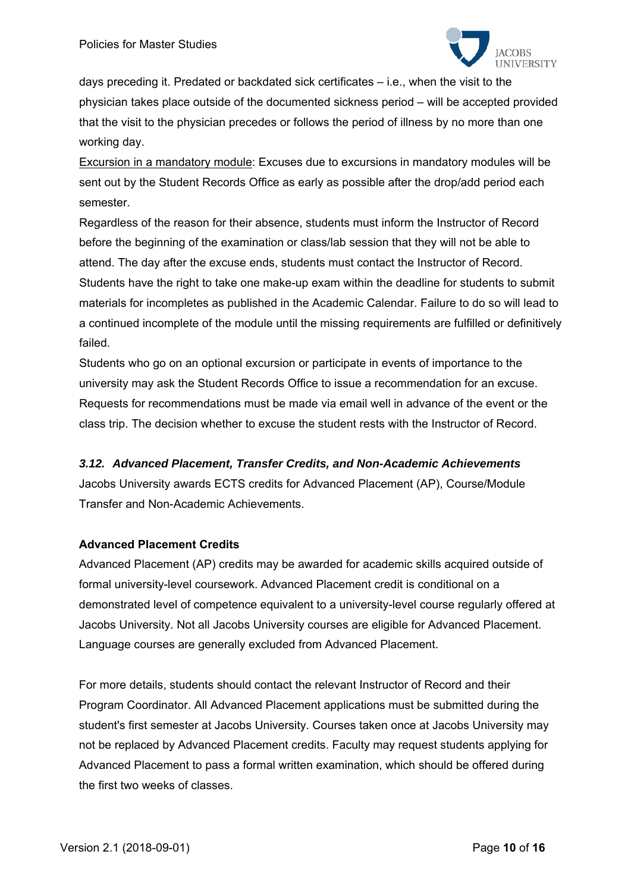

days preceding it. Predated or backdated sick certificates – i.e., when the visit to the physician takes place outside of the documented sickness period – will be accepted provided that the visit to the physician precedes or follows the period of illness by no more than one working day.

Excursion in a mandatory module: Excuses due to excursions in mandatory modules will be sent out by the Student Records Office as early as possible after the drop/add period each semester.

Regardless of the reason for their absence, students must inform the Instructor of Record before the beginning of the examination or class/lab session that they will not be able to attend. The day after the excuse ends, students must contact the Instructor of Record. Students have the right to take one make-up exam within the deadline for students to submit materials for incompletes as published in the Academic Calendar. Failure to do so will lead to a continued incomplete of the module until the missing requirements are fulfilled or definitively failed.

Students who go on an optional excursion or participate in events of importance to the university may ask the Student Records Office to issue a recommendation for an excuse. Requests for recommendations must be made via email well in advance of the event or the class trip. The decision whether to excuse the student rests with the Instructor of Record.

## *3.12. Advanced Placement, Transfer Credits, and Non-Academic Achievements*

Jacobs University awards ECTS credits for Advanced Placement (AP), Course/Module Transfer and Non-Academic Achievements.

## **Advanced Placement Credits**

Advanced Placement (AP) credits may be awarded for academic skills acquired outside of formal university-level coursework. Advanced Placement credit is conditional on a demonstrated level of competence equivalent to a university-level course regularly offered at Jacobs University. Not all Jacobs University courses are eligible for Advanced Placement. Language courses are generally excluded from Advanced Placement.

For more details, students should contact the relevant Instructor of Record and their Program Coordinator. All Advanced Placement applications must be submitted during the student's first semester at Jacobs University. Courses taken once at Jacobs University may not be replaced by Advanced Placement credits. Faculty may request students applying for Advanced Placement to pass a formal written examination, which should be offered during the first two weeks of classes.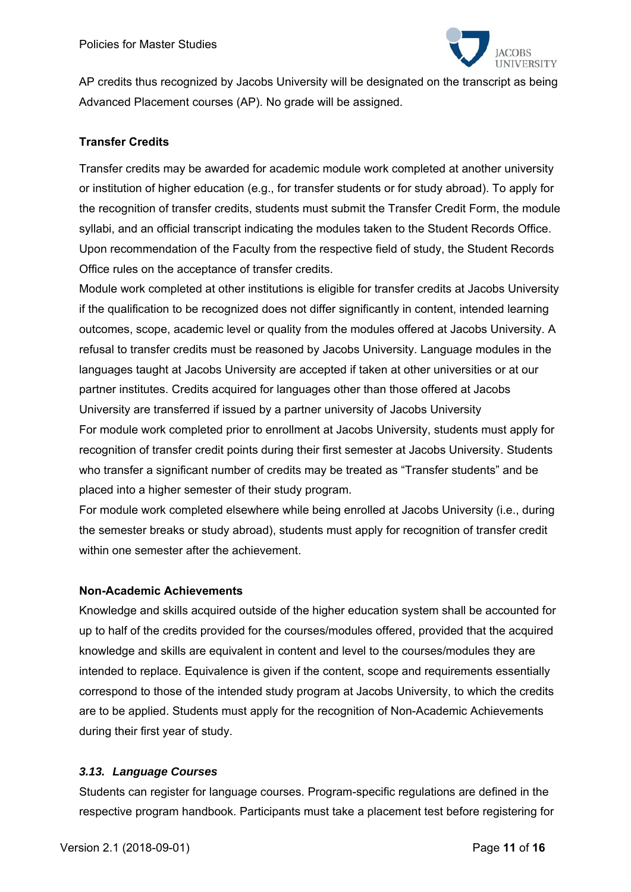

AP credits thus recognized by Jacobs University will be designated on the transcript as being Advanced Placement courses (AP). No grade will be assigned.

## **Transfer Credits**

Transfer credits may be awarded for academic module work completed at another university or institution of higher education (e.g., for transfer students or for study abroad). To apply for the recognition of transfer credits, students must submit the Transfer Credit Form, the module syllabi, and an official transcript indicating the modules taken to the Student Records Office. Upon recommendation of the Faculty from the respective field of study, the Student Records Office rules on the acceptance of transfer credits.

Module work completed at other institutions is eligible for transfer credits at Jacobs University if the qualification to be recognized does not differ significantly in content, intended learning outcomes, scope, academic level or quality from the modules offered at Jacobs University. A refusal to transfer credits must be reasoned by Jacobs University. Language modules in the languages taught at Jacobs University are accepted if taken at other universities or at our partner institutes. Credits acquired for languages other than those offered at Jacobs University are transferred if issued by a partner university of Jacobs University For module work completed prior to enrollment at Jacobs University, students must apply for recognition of transfer credit points during their first semester at Jacobs University. Students who transfer a significant number of credits may be treated as "Transfer students" and be placed into a higher semester of their study program.

For module work completed elsewhere while being enrolled at Jacobs University (i.e., during the semester breaks or study abroad), students must apply for recognition of transfer credit within one semester after the achievement.

#### **Non-Academic Achievements**

Knowledge and skills acquired outside of the higher education system shall be accounted for up to half of the credits provided for the courses/modules offered, provided that the acquired knowledge and skills are equivalent in content and level to the courses/modules they are intended to replace. Equivalence is given if the content, scope and requirements essentially correspond to those of the intended study program at Jacobs University, to which the credits are to be applied. Students must apply for the recognition of Non-Academic Achievements during their first year of study.

#### *3.13. Language Courses*

Students can register for language courses. Program-specific regulations are defined in the respective program handbook. Participants must take a placement test before registering for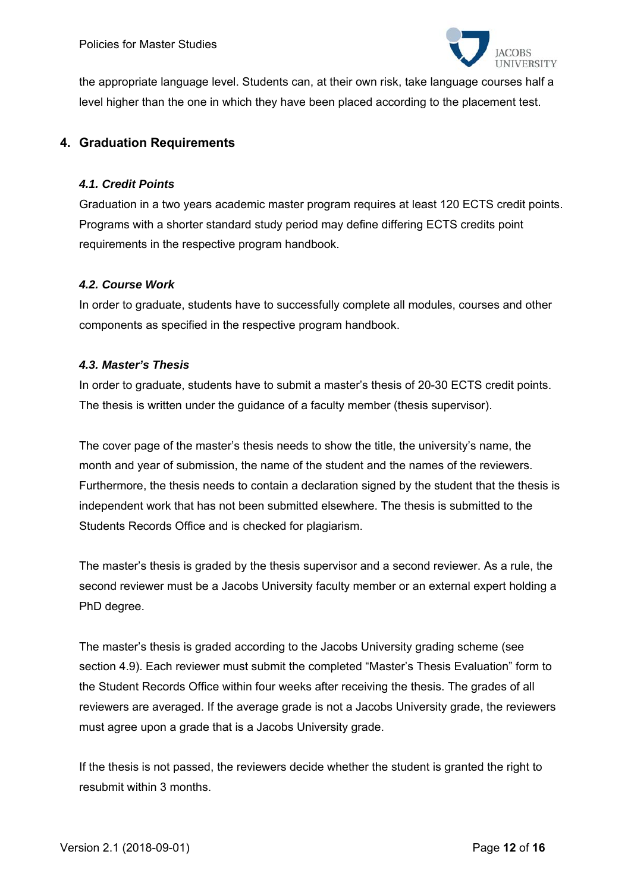

the appropriate language level. Students can, at their own risk, take language courses half a level higher than the one in which they have been placed according to the placement test.

## **4. Graduation Requirements**

#### *4.1. Credit Points*

Graduation in a two years academic master program requires at least 120 ECTS credit points. Programs with a shorter standard study period may define differing ECTS credits point requirements in the respective program handbook.

#### *4.2. Course Work*

In order to graduate, students have to successfully complete all modules, courses and other components as specified in the respective program handbook.

#### *4.3. Master's Thesis*

In order to graduate, students have to submit a master's thesis of 20-30 ECTS credit points. The thesis is written under the guidance of a faculty member (thesis supervisor).

The cover page of the master's thesis needs to show the title, the university's name, the month and year of submission, the name of the student and the names of the reviewers. Furthermore, the thesis needs to contain a declaration signed by the student that the thesis is independent work that has not been submitted elsewhere. The thesis is submitted to the Students Records Office and is checked for plagiarism.

The master's thesis is graded by the thesis supervisor and a second reviewer. As a rule, the second reviewer must be a Jacobs University faculty member or an external expert holding a PhD degree.

The master's thesis is graded according to the Jacobs University grading scheme (see section 4.9). Each reviewer must submit the completed "Master's Thesis Evaluation" form to the Student Records Office within four weeks after receiving the thesis. The grades of all reviewers are averaged. If the average grade is not a Jacobs University grade, the reviewers must agree upon a grade that is a Jacobs University grade.

If the thesis is not passed, the reviewers decide whether the student is granted the right to resubmit within 3 months.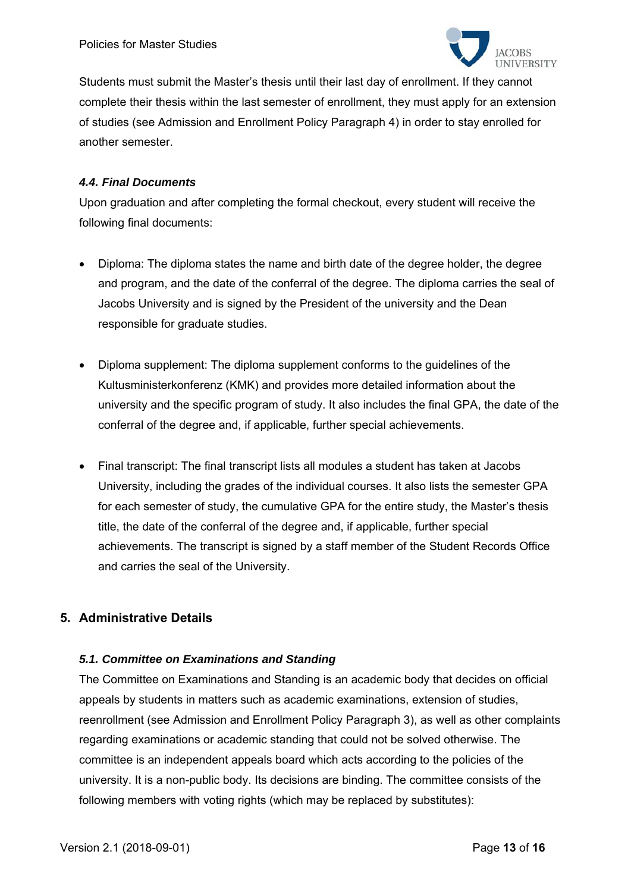

Students must submit the Master's thesis until their last day of enrollment. If they cannot complete their thesis within the last semester of enrollment, they must apply for an extension of studies (see Admission and Enrollment Policy Paragraph 4) in order to stay enrolled for another semester.

## *4.4. Final Documents*

Upon graduation and after completing the formal checkout, every student will receive the following final documents:

- Diploma: The diploma states the name and birth date of the degree holder, the degree and program, and the date of the conferral of the degree. The diploma carries the seal of Jacobs University and is signed by the President of the university and the Dean responsible for graduate studies.
- Diploma supplement: The diploma supplement conforms to the guidelines of the Kultusministerkonferenz (KMK) and provides more detailed information about the university and the specific program of study. It also includes the final GPA, the date of the conferral of the degree and, if applicable, further special achievements.
- Final transcript: The final transcript lists all modules a student has taken at Jacobs University, including the grades of the individual courses. It also lists the semester GPA for each semester of study, the cumulative GPA for the entire study, the Master's thesis title, the date of the conferral of the degree and, if applicable, further special achievements. The transcript is signed by a staff member of the Student Records Office and carries the seal of the University.

# **5. Administrative Details**

## *5.1. Committee on Examinations and Standing*

The Committee on Examinations and Standing is an academic body that decides on official appeals by students in matters such as academic examinations, extension of studies, reenrollment (see Admission and Enrollment Policy Paragraph 3), as well as other complaints regarding examinations or academic standing that could not be solved otherwise. The committee is an independent appeals board which acts according to the policies of the university. It is a non-public body. Its decisions are binding. The committee consists of the following members with voting rights (which may be replaced by substitutes):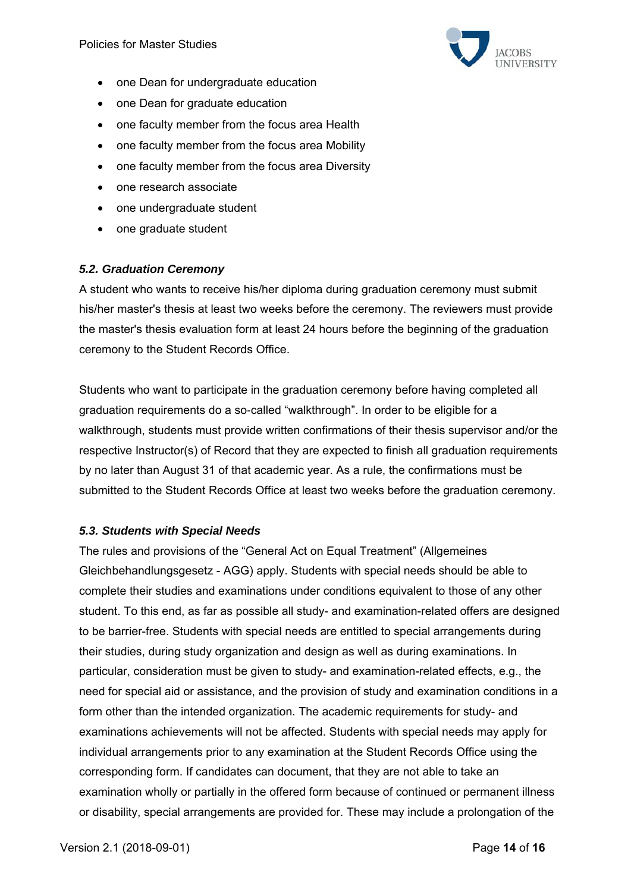

- one Dean for undergraduate education
- one Dean for graduate education
- one faculty member from the focus area Health
- one faculty member from the focus area Mobility
- one faculty member from the focus area Diversity
- one research associate
- one undergraduate student
- one graduate student

#### *5.2. Graduation Ceremony*

A student who wants to receive his/her diploma during graduation ceremony must submit his/her master's thesis at least two weeks before the ceremony. The reviewers must provide the master's thesis evaluation form at least 24 hours before the beginning of the graduation ceremony to the Student Records Office.

Students who want to participate in the graduation ceremony before having completed all graduation requirements do a so-called "walkthrough". In order to be eligible for a walkthrough, students must provide written confirmations of their thesis supervisor and/or the respective Instructor(s) of Record that they are expected to finish all graduation requirements by no later than August 31 of that academic year. As a rule, the confirmations must be submitted to the Student Records Office at least two weeks before the graduation ceremony.

#### *5.3. Students with Special Needs*

The rules and provisions of the "General Act on Equal Treatment" (Allgemeines Gleichbehandlungsgesetz - AGG) apply. Students with special needs should be able to complete their studies and examinations under conditions equivalent to those of any other student. To this end, as far as possible all study- and examination-related offers are designed to be barrier-free. Students with special needs are entitled to special arrangements during their studies, during study organization and design as well as during examinations. In particular, consideration must be given to study- and examination-related effects, e.g., the need for special aid or assistance, and the provision of study and examination conditions in a form other than the intended organization. The academic requirements for study- and examinations achievements will not be affected. Students with special needs may apply for individual arrangements prior to any examination at the Student Records Office using the corresponding form. If candidates can document, that they are not able to take an examination wholly or partially in the offered form because of continued or permanent illness or disability, special arrangements are provided for. These may include a prolongation of the